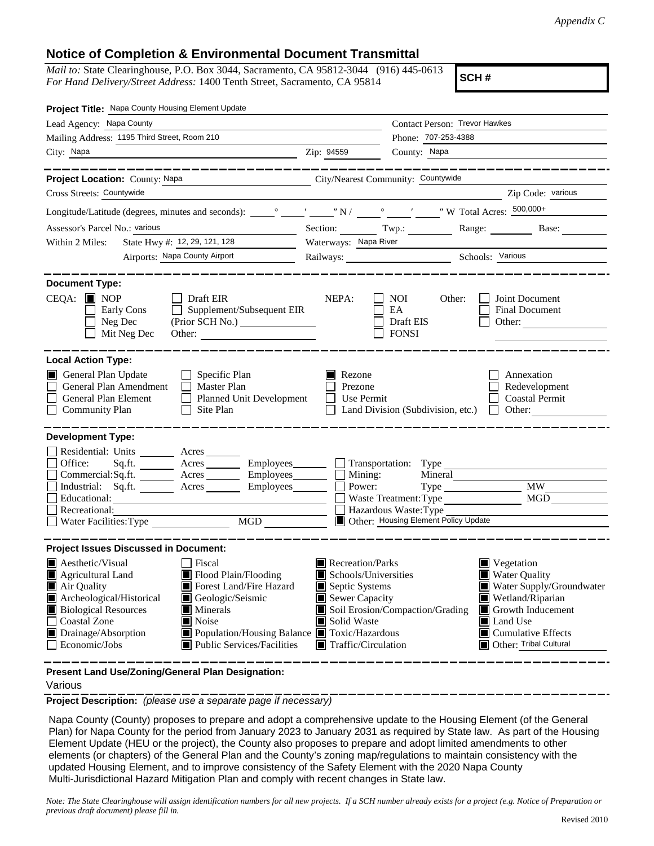## **Notice of Completion & Environmental Document Transmittal**

*Mail to:* State Clearinghouse, P.O. Box 3044, Sacramento, CA 95812-3044 (916) 445-0613 *For Hand Delivery/Street Address:* 1400 Tenth Street, Sacramento, CA 95814

**SCH #**

| Project Title: Napa County Housing Element Update                                                                                                                                                                                                                                                                                                                                            |                                                                                                                                                  |                                      |                                                                                                                                                                                            |  |  |  |
|----------------------------------------------------------------------------------------------------------------------------------------------------------------------------------------------------------------------------------------------------------------------------------------------------------------------------------------------------------------------------------------------|--------------------------------------------------------------------------------------------------------------------------------------------------|--------------------------------------|--------------------------------------------------------------------------------------------------------------------------------------------------------------------------------------------|--|--|--|
| Lead Agency: Napa County                                                                                                                                                                                                                                                                                                                                                                     |                                                                                                                                                  | Contact Person: Trevor Hawkes        |                                                                                                                                                                                            |  |  |  |
| Mailing Address: 1195 Third Street, Room 210                                                                                                                                                                                                                                                                                                                                                 |                                                                                                                                                  |                                      | Phone: 707-253-4388                                                                                                                                                                        |  |  |  |
| City: Napa                                                                                                                                                                                                                                                                                                                                                                                   | Zip: 94559                                                                                                                                       | County: Napa                         |                                                                                                                                                                                            |  |  |  |
| __________                                                                                                                                                                                                                                                                                                                                                                                   |                                                                                                                                                  |                                      | ______________                                                                                                                                                                             |  |  |  |
| Project Location: County: Napa                                                                                                                                                                                                                                                                                                                                                               | City/Nearest Community: Countywide                                                                                                               |                                      |                                                                                                                                                                                            |  |  |  |
| Cross Streets: Countywide                                                                                                                                                                                                                                                                                                                                                                    |                                                                                                                                                  |                                      | Zip Code: various                                                                                                                                                                          |  |  |  |
|                                                                                                                                                                                                                                                                                                                                                                                              |                                                                                                                                                  |                                      |                                                                                                                                                                                            |  |  |  |
| Assessor's Parcel No.: various<br>the control of the control of the control of                                                                                                                                                                                                                                                                                                               |                                                                                                                                                  |                                      | Section: Twp.: Range: Base:                                                                                                                                                                |  |  |  |
| State Hwy #: 12, 29, 121, 128<br>Within 2 Miles:                                                                                                                                                                                                                                                                                                                                             |                                                                                                                                                  | Waterways: Napa River                |                                                                                                                                                                                            |  |  |  |
| Airports: Napa County Airport                                                                                                                                                                                                                                                                                                                                                                |                                                                                                                                                  | Railways: Schools: Various           |                                                                                                                                                                                            |  |  |  |
| <b>Document Type:</b><br>$CEQA:$ MOP<br>$\Box$ Draft EIR<br>$\Box$ Supplement/Subsequent EIR<br>Early Cons                                                                                                                                                                                                                                                                                   | NEPA:                                                                                                                                            | NOI<br>Other:<br>EA                  | Joint Document<br><b>Final Document</b>                                                                                                                                                    |  |  |  |
| Neg Dec<br>(Prior SCH No.)<br>$\blacksquare$<br>Mit Neg Dec<br>Other:                                                                                                                                                                                                                                                                                                                        |                                                                                                                                                  | Draft EIS<br><b>FONSI</b>            | Other:                                                                                                                                                                                     |  |  |  |
| <b>Local Action Type:</b><br>General Plan Update<br>$\Box$ Specific Plan<br>General Plan Amendment<br>$\Box$ Master Plan<br>General Plan Element<br>Planned Unit Development<br><b>Community Plan</b><br>$\Box$ Site Plan                                                                                                                                                                    | $\blacksquare$ Rezone<br>Prezone<br>Use Permit<br>$\mathsf{L}$                                                                                   | Land Division (Subdivision, etc.)    | Annexation<br>Redevelopment<br><b>Coastal Permit</b><br>$\Box$ Other:                                                                                                                      |  |  |  |
| <b>Development Type:</b><br>Residential: Units ________ Acres ______<br>Sq.ft. ________ Acres __________ Employees_________ ___ Transportation: Type __________<br>Office:                                                                                                                                                                                                                   |                                                                                                                                                  |                                      |                                                                                                                                                                                            |  |  |  |
| Commercial:Sq.ft. ________ Acres _________ Employees _______ $\Box$<br>Acres Employees Power:<br>Industrial: Sq.ft.                                                                                                                                                                                                                                                                          |                                                                                                                                                  | Mining:<br>Mineral                   | <b>MW</b>                                                                                                                                                                                  |  |  |  |
| Educational:                                                                                                                                                                                                                                                                                                                                                                                 |                                                                                                                                                  | Waste Treatment: Type                | MGD                                                                                                                                                                                        |  |  |  |
| Recreational:                                                                                                                                                                                                                                                                                                                                                                                |                                                                                                                                                  | Hazardous Waste: Type                |                                                                                                                                                                                            |  |  |  |
| MGD<br><b>Water Facilities: Type</b>                                                                                                                                                                                                                                                                                                                                                         |                                                                                                                                                  | Other: Housing Element Policy Update |                                                                                                                                                                                            |  |  |  |
| <b>Project Issues Discussed in Document:</b>                                                                                                                                                                                                                                                                                                                                                 |                                                                                                                                                  |                                      |                                                                                                                                                                                            |  |  |  |
| $\blacksquare$ Aesthetic/Visual<br>  Fiscal<br>Flood Plain/Flooding<br><b>E</b> Agricultural Land<br>Forest Land/Fire Hazard<br>Air Quality<br>Geologic/Seismic<br>Archeological/Historical<br><b>Biological Resources</b><br>Minerals<br>Coastal Zone<br>Noise<br>Drainage/Absorption<br>Population/Housing Balance <b>T</b> Toxic/Hazardous<br>Economic/Jobs<br>Public Services/Facilities | $\blacksquare$ Recreation/Parks<br>Schools/Universities<br>Septic Systems<br>Sewer Capacity<br>Solid Waste<br>$\blacksquare$ Traffic/Circulation | Soil Erosion/Compaction/Grading      | Vegetation<br>Water Quality<br>Water Supply/Groundwater<br>Wetland/Riparian<br>$\blacksquare$ Growth Inducement<br>Land Use<br>$\blacksquare$ Cumulative Effects<br>Other: Tribal Cultural |  |  |  |
| Present Land Use/Zoning/General Plan Designation:                                                                                                                                                                                                                                                                                                                                            |                                                                                                                                                  |                                      |                                                                                                                                                                                            |  |  |  |

## Various

**Project Description:** *(please use a separate page if necessary)*

 Napa County (County) proposes to prepare and adopt a comprehensive update to the Housing Element (of the General Plan) for Napa County for the period from January 2023 to January 2031 as required by State law. As part of the Housing Element Update (HEU or the project), the County also proposes to prepare and adopt limited amendments to other elements (or chapters) of the General Plan and the County's zoning map/regulations to maintain consistency with the updated Housing Element, and to improve consistency of the Safety Element with the 2020 Napa County Multi-Jurisdictional Hazard Mitigation Plan and comply with recent changes in State law.

*Note: The State Clearinghouse will assign identification numbers for all new projects. If a SCH number already exists for a project (e.g. Notice of Preparation or previous draft document) please fill in.*